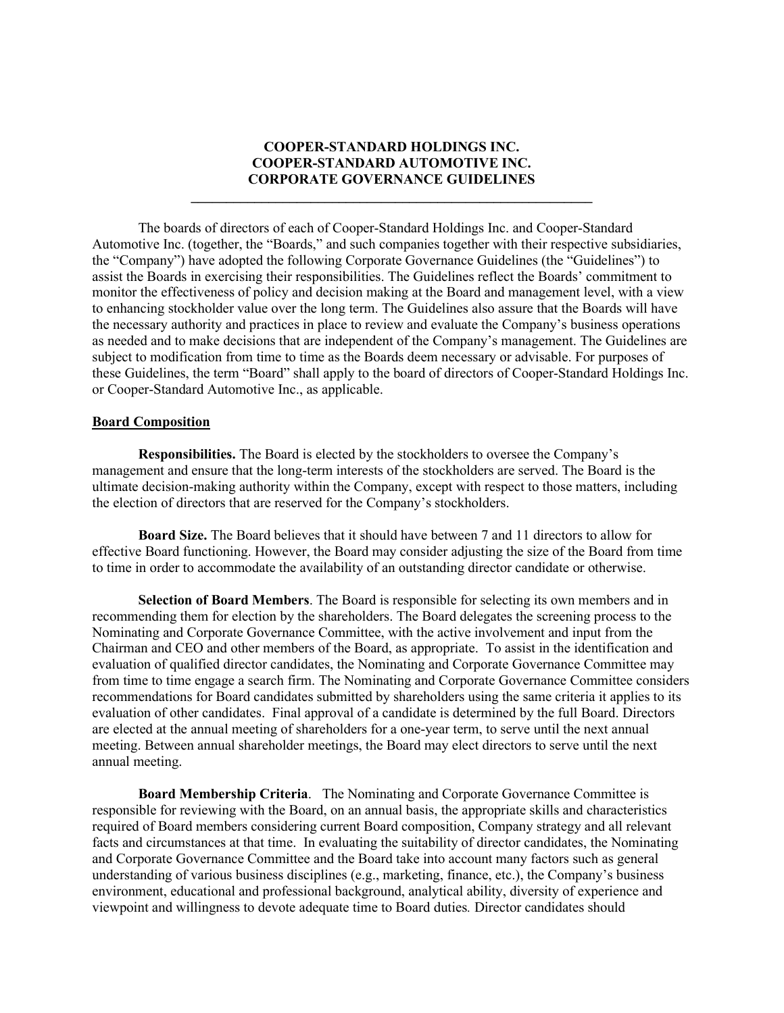# **COOPER-STANDARD HOLDINGS INC. COOPER-STANDARD AUTOMOTIVE INC. CORPORATE GOVERNANCE GUIDELINES**

**\_\_\_\_\_\_\_\_\_\_\_\_\_\_\_\_\_\_\_\_\_\_\_\_\_\_\_\_\_\_\_\_\_\_\_\_\_\_\_\_\_\_\_\_\_\_\_\_\_\_\_\_\_\_\_\_\_**

The boards of directors of each of Cooper-Standard Holdings Inc. and Cooper-Standard Automotive Inc. (together, the "Boards," and such companies together with their respective subsidiaries, the "Company") have adopted the following Corporate Governance Guidelines (the "Guidelines") to assist the Boards in exercising their responsibilities. The Guidelines reflect the Boards' commitment to monitor the effectiveness of policy and decision making at the Board and management level, with a view to enhancing stockholder value over the long term. The Guidelines also assure that the Boards will have the necessary authority and practices in place to review and evaluate the Company's business operations as needed and to make decisions that are independent of the Company's management. The Guidelines are subject to modification from time to time as the Boards deem necessary or advisable. For purposes of these Guidelines, the term "Board" shall apply to the board of directors of Cooper-Standard Holdings Inc. or Cooper-Standard Automotive Inc., as applicable.

### **Board Composition**

**Responsibilities.** The Board is elected by the stockholders to oversee the Company's management and ensure that the long-term interests of the stockholders are served. The Board is the ultimate decision-making authority within the Company, except with respect to those matters, including the election of directors that are reserved for the Company's stockholders.

**Board Size.** The Board believes that it should have between 7 and 11 directors to allow for effective Board functioning. However, the Board may consider adjusting the size of the Board from time to time in order to accommodate the availability of an outstanding director candidate or otherwise.

**Selection of Board Members**. The Board is responsible for selecting its own members and in recommending them for election by the shareholders. The Board delegates the screening process to the Nominating and Corporate Governance Committee, with the active involvement and input from the Chairman and CEO and other members of the Board, as appropriate. To assist in the identification and evaluation of qualified director candidates, the Nominating and Corporate Governance Committee may from time to time engage a search firm. The Nominating and Corporate Governance Committee considers recommendations for Board candidates submitted by shareholders using the same criteria it applies to its evaluation of other candidates. Final approval of a candidate is determined by the full Board. Directors are elected at the annual meeting of shareholders for a one-year term, to serve until the next annual meeting. Between annual shareholder meetings, the Board may elect directors to serve until the next annual meeting.

**Board Membership Criteria**. The Nominating and Corporate Governance Committee is responsible for reviewing with the Board, on an annual basis, the appropriate skills and characteristics required of Board members considering current Board composition, Company strategy and all relevant facts and circumstances at that time. In evaluating the suitability of director candidates, the Nominating and Corporate Governance Committee and the Board take into account many factors such as general understanding of various business disciplines (e.g., marketing, finance, etc.), the Company's business environment, educational and professional background, analytical ability, diversity of experience and viewpoint and willingness to devote adequate time to Board duties*.* Director candidates should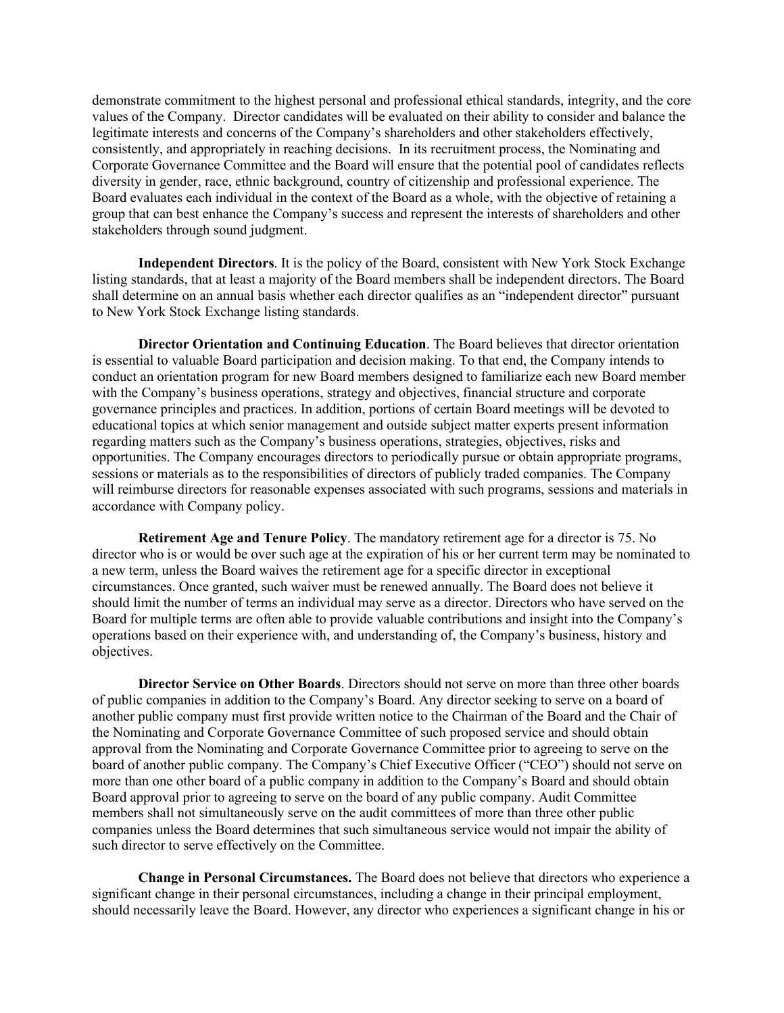demonstrate commitment to the highest personal and professional ethical standards, integrity, and the core values of the Company. Director candidates will be evaluated on their ability to consider and balance the legitimate interests and concerns of the Company's shareholders and other stakeholders effectively, consistently, and appropriately in reaching decisions. In its recruitment process, the Nominating and Corporate Governance Committee and the Board will ensure that the potential pool of candidates reflects diversity in gender, race, ethnic background, country of citizenship and professional experience. The Board evaluates each individual in the context of the Board as a whole, with the objective of retaining a group that can best enhance the Company's success and represent the interests of shareholders and other stakeholders through sound judgment.

**Independent Directors**. It is the policy of the Board, consistent with New York Stock Exchange listing standards, that at least a majority of the Board members shall be independent directors. The Board shall determine on an annual basis whether each director qualifies as an "independent director" pursuant to New York Stock Exchange listing standards.

**Director Orientation and Continuing Education**. The Board believes that director orientation is essential to valuable Board participation and decision making. To that end, the Company intends to conduct an orientation program for new Board members designed to familiarize each new Board member with the Company's business operations, strategy and objectives, financial structure and corporate governance principles and practices. In addition, portions of certain Board meetings will be devoted to educational topics at which senior management and outside subject matter experts present information regarding matters such as the Company's business operations, strategies, objectives, risks and opportunities. The Company encourages directors to periodically pursue or obtain appropriate programs, sessions or materials as to the responsibilities of directors of publicly traded companies. The Company will reimburse directors for reasonable expenses associated with such programs, sessions and materials in accordance with Company policy.

**Retirement Age and Tenure Policy**. The mandatory retirement age for a director is 75. No director who is or would be over such age at the expiration of his or her current term may be nominated to a new term, unless the Board waives the retirement age for a specific director in exceptional circumstances. Once granted, such waiver must be renewed annually. The Board does not believe it should limit the number of terms an individual may serve as a director. Directors who have served on the Board for multiple terms are often able to provide valuable contributions and insight into the Company's operations based on their experience with, and understanding of, the Company's business, history and objectives.

**Director Service on Other Boards**. Directors should not serve on more than three other boards of public companies in addition to the Company's Board. Any director seeking to serve on a board of another public company must first provide written notice to the Chairman of the Board and the Chair of the Nominating and Corporate Governance Committee of such proposed service and should obtain approval from the Nominating and Corporate Governance Committee prior to agreeing to serve on the board of another public company. The Company's Chief Executive Officer ("CEO") should not serve on more than one other board of a public company in addition to the Company's Board and should obtain Board approval prior to agreeing to serve on the board of any public company. Audit Committee members shall not simultaneously serve on the audit committees of more than three other public companies unless the Board determines that such simultaneous service would not impair the ability of such director to serve effectively on the Committee.

**Change in Personal Circumstances.** The Board does not believe that directors who experience a significant change in their personal circumstances, including a change in their principal employment, should necessarily leave the Board. However, any director who experiences a significant change in his or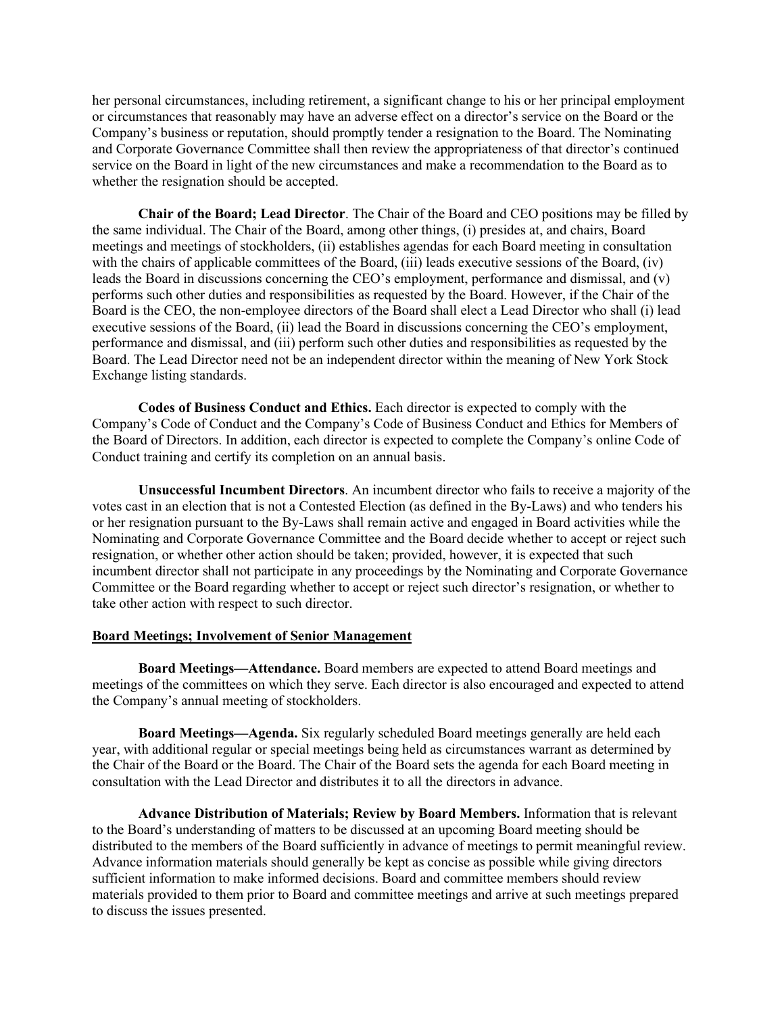her personal circumstances, including retirement, a significant change to his or her principal employment or circumstances that reasonably may have an adverse effect on a director's service on the Board or the Company's business or reputation, should promptly tender a resignation to the Board. The Nominating and Corporate Governance Committee shall then review the appropriateness of that director's continued service on the Board in light of the new circumstances and make a recommendation to the Board as to whether the resignation should be accepted.

**Chair of the Board; Lead Director**. The Chair of the Board and CEO positions may be filled by the same individual. The Chair of the Board, among other things, (i) presides at, and chairs, Board meetings and meetings of stockholders, (ii) establishes agendas for each Board meeting in consultation with the chairs of applicable committees of the Board, (iii) leads executive sessions of the Board, (iv) leads the Board in discussions concerning the CEO's employment, performance and dismissal, and (v) performs such other duties and responsibilities as requested by the Board. However, if the Chair of the Board is the CEO, the non-employee directors of the Board shall elect a Lead Director who shall (i) lead executive sessions of the Board, (ii) lead the Board in discussions concerning the CEO's employment, performance and dismissal, and (iii) perform such other duties and responsibilities as requested by the Board. The Lead Director need not be an independent director within the meaning of New York Stock Exchange listing standards.

**Codes of Business Conduct and Ethics.** Each director is expected to comply with the Company's Code of Conduct and the Company's Code of Business Conduct and Ethics for Members of the Board of Directors. In addition, each director is expected to complete the Company's online Code of Conduct training and certify its completion on an annual basis.

**Unsuccessful Incumbent Directors**. An incumbent director who fails to receive a majority of the votes cast in an election that is not a Contested Election (as defined in the By-Laws) and who tenders his or her resignation pursuant to the By-Laws shall remain active and engaged in Board activities while the Nominating and Corporate Governance Committee and the Board decide whether to accept or reject such resignation, or whether other action should be taken; provided, however, it is expected that such incumbent director shall not participate in any proceedings by the Nominating and Corporate Governance Committee or the Board regarding whether to accept or reject such director's resignation, or whether to take other action with respect to such director.

### **Board Meetings; Involvement of Senior Management**

**Board Meetings—Attendance.** Board members are expected to attend Board meetings and meetings of the committees on which they serve. Each director is also encouraged and expected to attend the Company's annual meeting of stockholders.

**Board Meetings—Agenda.** Six regularly scheduled Board meetings generally are held each year, with additional regular or special meetings being held as circumstances warrant as determined by the Chair of the Board or the Board. The Chair of the Board sets the agenda for each Board meeting in consultation with the Lead Director and distributes it to all the directors in advance.

**Advance Distribution of Materials; Review by Board Members.** Information that is relevant to the Board's understanding of matters to be discussed at an upcoming Board meeting should be distributed to the members of the Board sufficiently in advance of meetings to permit meaningful review. Advance information materials should generally be kept as concise as possible while giving directors sufficient information to make informed decisions. Board and committee members should review materials provided to them prior to Board and committee meetings and arrive at such meetings prepared to discuss the issues presented.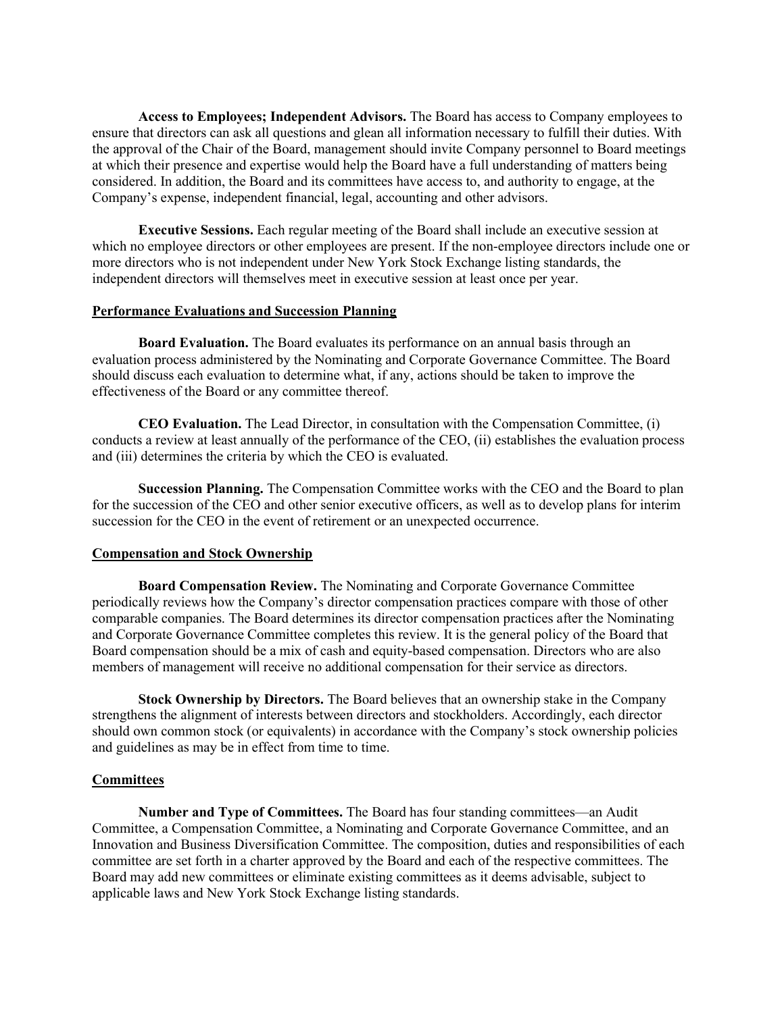**Access to Employees; Independent Advisors.** The Board has access to Company employees to ensure that directors can ask all questions and glean all information necessary to fulfill their duties. With the approval of the Chair of the Board, management should invite Company personnel to Board meetings at which their presence and expertise would help the Board have a full understanding of matters being considered. In addition, the Board and its committees have access to, and authority to engage, at the Company's expense, independent financial, legal, accounting and other advisors.

**Executive Sessions.** Each regular meeting of the Board shall include an executive session at which no employee directors or other employees are present. If the non-employee directors include one or more directors who is not independent under New York Stock Exchange listing standards, the independent directors will themselves meet in executive session at least once per year.

### **Performance Evaluations and Succession Planning**

**Board Evaluation.** The Board evaluates its performance on an annual basis through an evaluation process administered by the Nominating and Corporate Governance Committee. The Board should discuss each evaluation to determine what, if any, actions should be taken to improve the effectiveness of the Board or any committee thereof.

**CEO Evaluation.** The Lead Director, in consultation with the Compensation Committee, (i) conducts a review at least annually of the performance of the CEO, (ii) establishes the evaluation process and (iii) determines the criteria by which the CEO is evaluated.

**Succession Planning.** The Compensation Committee works with the CEO and the Board to plan for the succession of the CEO and other senior executive officers, as well as to develop plans for interim succession for the CEO in the event of retirement or an unexpected occurrence.

### **Compensation and Stock Ownership**

**Board Compensation Review.** The Nominating and Corporate Governance Committee periodically reviews how the Company's director compensation practices compare with those of other comparable companies. The Board determines its director compensation practices after the Nominating and Corporate Governance Committee completes this review. It is the general policy of the Board that Board compensation should be a mix of cash and equity-based compensation. Directors who are also members of management will receive no additional compensation for their service as directors.

**Stock Ownership by Directors.** The Board believes that an ownership stake in the Company strengthens the alignment of interests between directors and stockholders. Accordingly, each director should own common stock (or equivalents) in accordance with the Company's stock ownership policies and guidelines as may be in effect from time to time.

### **Committees**

**Number and Type of Committees.** The Board has four standing committees—an Audit Committee, a Compensation Committee, a Nominating and Corporate Governance Committee, and an Innovation and Business Diversification Committee. The composition, duties and responsibilities of each committee are set forth in a charter approved by the Board and each of the respective committees. The Board may add new committees or eliminate existing committees as it deems advisable, subject to applicable laws and New York Stock Exchange listing standards.